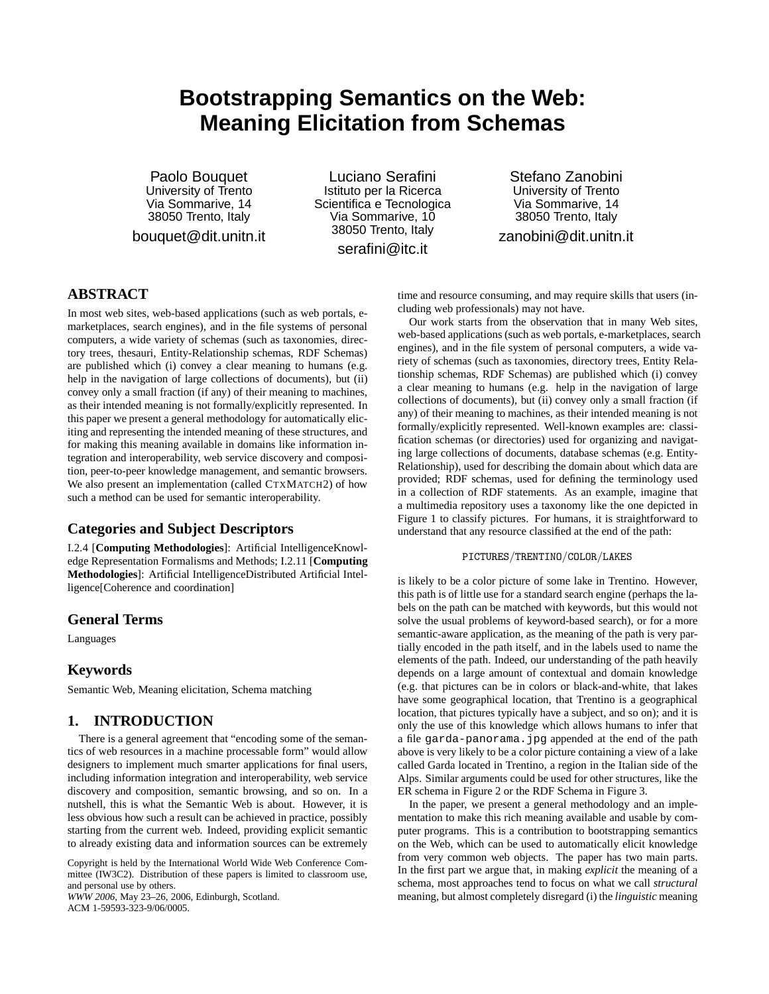# **Bootstrapping Semantics on the Web: Meaning Elicitation from Schemas**

Paolo Bouquet University of Trento Via Sommarive, 14 38050 Trento, Italy bouquet@dit.unitn.it

Luciano Serafini Istituto per la Ricerca Scientifica e Tecnologica Via Sommarive, 10 38050 Trento, Italy serafini@itc.it

Stefano Zanobini University of Trento Via Sommarive, 14 38050 Trento, Italy zanobini@dit.unitn.it

## **ABSTRACT**

In most web sites, web-based applications (such as web portals, emarketplaces, search engines), and in the file systems of personal computers, a wide variety of schemas (such as taxonomies, directory trees, thesauri, Entity-Relationship schemas, RDF Schemas) are published which (i) convey a clear meaning to humans (e.g. help in the navigation of large collections of documents), but (ii) convey only a small fraction (if any) of their meaning to machines, as their intended meaning is not formally/explicitly represented. In this paper we present a general methodology for automatically eliciting and representing the intended meaning of these structures, and for making this meaning available in domains like information integration and interoperability, web service discovery and composition, peer-to-peer knowledge management, and semantic browsers. We also present an implementation (called CTXMATCH2) of how such a method can be used for semantic interoperability.

#### **Categories and Subject Descriptors**

I.2.4 [**Computing Methodologies**]: Artificial IntelligenceKnowledge Representation Formalisms and Methods; I.2.11 [**Computing Methodologies**]: Artificial IntelligenceDistributed Artificial Intelligence[Coherence and coordination]

#### **General Terms**

Languages

#### **Keywords**

Semantic Web, Meaning elicitation, Schema matching

## **1. INTRODUCTION**

There is a general agreement that "encoding some of the semantics of web resources in a machine processable form" would allow designers to implement much smarter applications for final users, including information integration and interoperability, web service discovery and composition, semantic browsing, and so on. In a nutshell, this is what the Semantic Web is about. However, it is less obvious how such a result can be achieved in practice, possibly starting from the current web. Indeed, providing explicit semantic to already existing data and information sources can be extremely

Copyright is held by the International World Wide Web Conference Committee (IW3C2). Distribution of these papers is limited to classroom use, and personal use by others.

*WWW 2006*, May 23–26, 2006, Edinburgh, Scotland. ACM 1-59593-323-9/06/0005.

time and resource consuming, and may require skills that users (including web professionals) may not have.

Our work starts from the observation that in many Web sites, web-based applications (such as web portals, e-marketplaces, search engines), and in the file system of personal computers, a wide variety of schemas (such as taxonomies, directory trees, Entity Relationship schemas, RDF Schemas) are published which (i) convey a clear meaning to humans (e.g. help in the navigation of large collections of documents), but (ii) convey only a small fraction (if any) of their meaning to machines, as their intended meaning is not formally/explicitly represented. Well-known examples are: classification schemas (or directories) used for organizing and navigating large collections of documents, database schemas (e.g. Entity-Relationship), used for describing the domain about which data are provided; RDF schemas, used for defining the terminology used in a collection of RDF statements. As an example, imagine that a multimedia repository uses a taxonomy like the one depicted in Figure 1 to classify pictures. For humans, it is straightforward to understand that any resource classified at the end of the path:

#### PICTURES/TRENTINO/COLOR/LAKES

is likely to be a color picture of some lake in Trentino. However, this path is of little use for a standard search engine (perhaps the labels on the path can be matched with keywords, but this would not solve the usual problems of keyword-based search), or for a more semantic-aware application, as the meaning of the path is very partially encoded in the path itself, and in the labels used to name the elements of the path. Indeed, our understanding of the path heavily depends on a large amount of contextual and domain knowledge (e.g. that pictures can be in colors or black-and-white, that lakes have some geographical location, that Trentino is a geographical location, that pictures typically have a subject, and so on); and it is only the use of this knowledge which allows humans to infer that a file garda-panorama.jpg appended at the end of the path above is very likely to be a color picture containing a view of a lake called Garda located in Trentino, a region in the Italian side of the Alps. Similar arguments could be used for other structures, like the ER schema in Figure 2 or the RDF Schema in Figure 3.

In the paper, we present a general methodology and an implementation to make this rich meaning available and usable by computer programs. This is a contribution to bootstrapping semantics on the Web, which can be used to automatically elicit knowledge from very common web objects. The paper has two main parts. In the first part we argue that, in making *explicit* the meaning of a schema, most approaches tend to focus on what we call *structural* meaning, but almost completely disregard (i) the *linguistic* meaning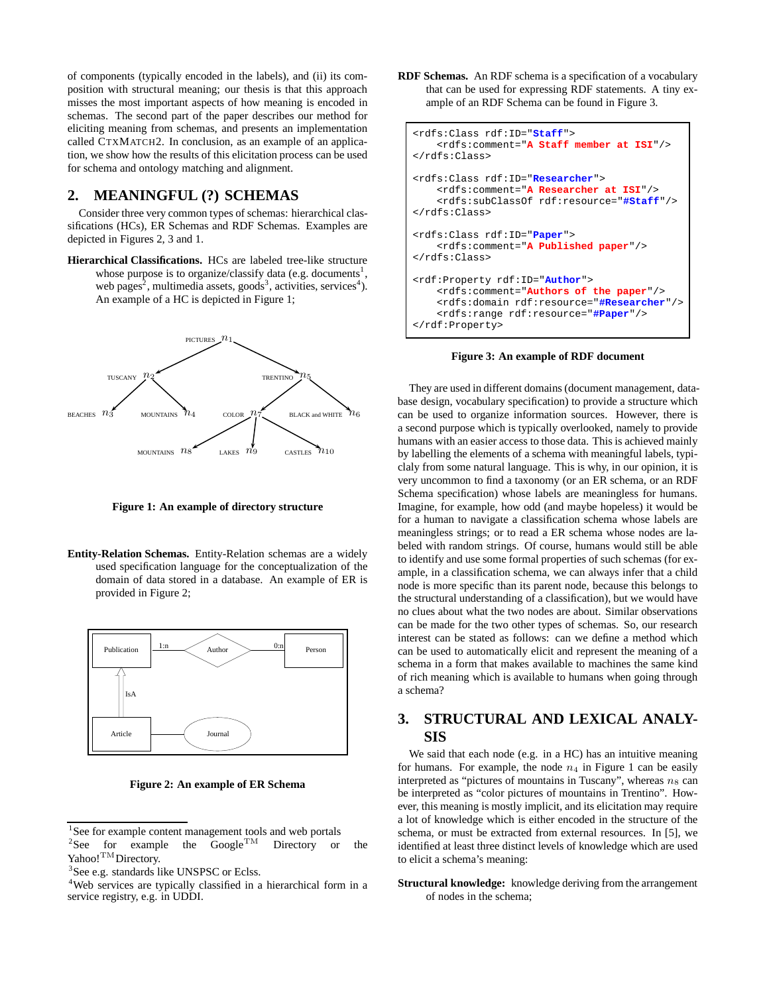of components (typically encoded in the labels), and (ii) its composition with structural meaning; our thesis is that this approach misses the most important aspects of how meaning is encoded in schemas. The second part of the paper describes our method for eliciting meaning from schemas, and presents an implementation called CTXMATCH2. In conclusion, as an example of an application, we show how the results of this elicitation process can be used for schema and ontology matching and alignment.

#### **2. MEANINGFUL (?) SCHEMAS**

Consider three very common types of schemas: hierarchical classifications (HCs), ER Schemas and RDF Schemas. Examples are depicted in Figures 2, 3 and 1.

**Hierarchical Classifications.** HCs are labeled tree-like structure whose purpose is to organize/classify data (e.g. documents<sup>1</sup>, web pages<sup>2</sup>, multimedia assets, goods<sup>3</sup>, activities, services<sup>4</sup>). An example of a HC is depicted in Figure 1;



**Figure 1: An example of directory structure**

**Entity-Relation Schemas.** Entity-Relation schemas are a widely used specification language for the conceptualization of the domain of data stored in a database. An example of ER is provided in Figure 2;



**Figure 2: An example of ER Schema**

**RDF Schemas.** An RDF schema is a specification of a vocabulary that can be used for expressing RDF statements. A tiny example of an RDF Schema can be found in Figure 3.

```
<rdfs:Class rdf:ID="Staff">
    <rdfs:comment="A Staff member at ISI"/>
</rdfs:Class>
<rdfs:Class rdf:ID="Researcher">
    <rdfs:comment="A Researcher at ISI"/>
    <rdfs:subClassOf rdf:resource="#Staff"/>
</rdfs:Class>
<rdfs:Class rdf:ID="Paper">
    <rdfs:comment="A Published paper"/>
</rdfs:Class>
<rdf:Property rdf:ID="Author">
    <rdfs:comment="Authors of the paper"/>
    <rdfs:domain rdf:resource="#Researcher"/>
    <rdfs:range rdf:resource="#Paper"/>
</rdf:Property>
```
**Figure 3: An example of RDF document**

They are used in different domains (document management, database design, vocabulary specification) to provide a structure which can be used to organize information sources. However, there is a second purpose which is typically overlooked, namely to provide humans with an easier access to those data. This is achieved mainly by labelling the elements of a schema with meaningful labels, typiclaly from some natural language. This is why, in our opinion, it is very uncommon to find a taxonomy (or an ER schema, or an RDF Schema specification) whose labels are meaningless for humans. Imagine, for example, how odd (and maybe hopeless) it would be for a human to navigate a classification schema whose labels are meaningless strings; or to read a ER schema whose nodes are labeled with random strings. Of course, humans would still be able to identify and use some formal properties of such schemas (for example, in a classification schema, we can always infer that a child node is more specific than its parent node, because this belongs to the structural understanding of a classification), but we would have no clues about what the two nodes are about. Similar observations can be made for the two other types of schemas. So, our research interest can be stated as follows: can we define a method which can be used to automatically elicit and represent the meaning of a schema in a form that makes available to machines the same kind of rich meaning which is available to humans when going through a schema?

# **3. STRUCTURAL AND LEXICAL ANALY-SIS**

We said that each node (e.g. in a HC) has an intuitive meaning for humans. For example, the node  $n_4$  in Figure 1 can be easily interpreted as "pictures of mountains in Tuscany", whereas  $n_8$  can be interpreted as "color pictures of mountains in Trentino". However, this meaning is mostly implicit, and its elicitation may require a lot of knowledge which is either encoded in the structure of the schema, or must be extracted from external resources. In [5], we identified at least three distinct levels of knowledge which are used to elicit a schema's meaning:

**Structural knowledge:** knowledge deriving from the arrangement of nodes in the schema;

<sup>&</sup>lt;sup>1</sup>See for example content management tools and web portals <sup>2</sup>See for example the Google<sup>TM</sup> Directory or the Yahoo!<sup>TM</sup>Directory.

<sup>&</sup>lt;sup>3</sup>See e.g. standards like UNSPSC or Eclss.

<sup>4</sup>Web services are typically classified in a hierarchical form in a service registry, e.g. in UDDI.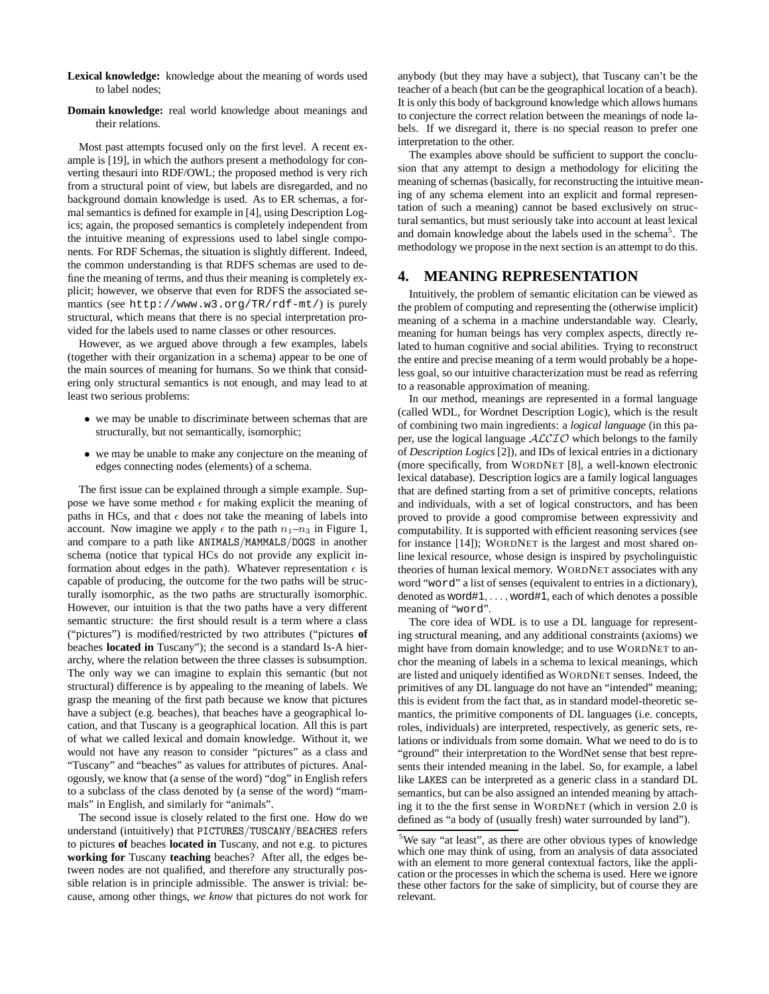- **Lexical knowledge:** knowledge about the meaning of words used to label nodes;
- **Domain knowledge:** real world knowledge about meanings and their relations.

Most past attempts focused only on the first level. A recent example is [19], in which the authors present a methodology for converting thesauri into RDF/OWL; the proposed method is very rich from a structural point of view, but labels are disregarded, and no background domain knowledge is used. As to ER schemas, a formal semantics is defined for example in [4], using Description Logics; again, the proposed semantics is completely independent from the intuitive meaning of expressions used to label single components. For RDF Schemas, the situation is slightly different. Indeed, the common understanding is that RDFS schemas are used to define the meaning of terms, and thus their meaning is completely explicit; however, we observe that even for RDFS the associated semantics (see http://www.w3.org/TR/rdf-mt/) is purely structural, which means that there is no special interpretation provided for the labels used to name classes or other resources.

However, as we argued above through a few examples, labels (together with their organization in a schema) appear to be one of the main sources of meaning for humans. So we think that considering only structural semantics is not enough, and may lead to at least two serious problems:

- we may be unable to discriminate between schemas that are structurally, but not semantically, isomorphic;
- we may be unable to make any conjecture on the meaning of edges connecting nodes (elements) of a schema.

The first issue can be explained through a simple example. Suppose we have some method  $\epsilon$  for making explicit the meaning of paths in HCs, and that  $\epsilon$  does not take the meaning of labels into account. Now imagine we apply  $\epsilon$  to the path  $n_1-n_3$  in Figure 1, and compare to a path like ANIMALS/MAMMALS/DOGS in another schema (notice that typical HCs do not provide any explicit information about edges in the path). Whatever representation  $\epsilon$  is capable of producing, the outcome for the two paths will be structurally isomorphic, as the two paths are structurally isomorphic. However, our intuition is that the two paths have a very different semantic structure: the first should result is a term where a class ("pictures") is modified/restricted by two attributes ("pictures **of** beaches **located in** Tuscany"); the second is a standard Is-A hierarchy, where the relation between the three classes is subsumption. The only way we can imagine to explain this semantic (but not structural) difference is by appealing to the meaning of labels. We grasp the meaning of the first path because we know that pictures have a subject (e.g. beaches), that beaches have a geographical location, and that Tuscany is a geographical location. All this is part of what we called lexical and domain knowledge. Without it, we would not have any reason to consider "pictures" as a class and "Tuscany" and "beaches" as values for attributes of pictures. Analogously, we know that (a sense of the word) "dog" in English refers to a subclass of the class denoted by (a sense of the word) "mammals" in English, and similarly for "animals".

The second issue is closely related to the first one. How do we understand (intuitively) that PICTURES/TUSCANY/BEACHES refers to pictures **of** beaches **located in** Tuscany, and not e.g. to pictures **working for** Tuscany **teaching** beaches? After all, the edges between nodes are not qualified, and therefore any structurally possible relation is in principle admissible. The answer is trivial: because, among other things, *we know* that pictures do not work for anybody (but they may have a subject), that Tuscany can't be the teacher of a beach (but can be the geographical location of a beach). It is only this body of background knowledge which allows humans to conjecture the correct relation between the meanings of node labels. If we disregard it, there is no special reason to prefer one interpretation to the other.

The examples above should be sufficient to support the conclusion that any attempt to design a methodology for eliciting the meaning of schemas (basically, for reconstructing the intuitive meaning of any schema element into an explicit and formal representation of such a meaning) cannot be based exclusively on structural semantics, but must seriously take into account at least lexical and domain knowledge about the labels used in the schema<sup>5</sup>. The methodology we propose in the next section is an attempt to do this.

## **4. MEANING REPRESENTATION**

Intuitively, the problem of semantic elicitation can be viewed as the problem of computing and representing the (otherwise implicit) meaning of a schema in a machine understandable way. Clearly, meaning for human beings has very complex aspects, directly related to human cognitive and social abilities. Trying to reconstruct the entire and precise meaning of a term would probably be a hopeless goal, so our intuitive characterization must be read as referring to a reasonable approximation of meaning.

In our method, meanings are represented in a formal language (called WDL, for Wordnet Description Logic), which is the result of combining two main ingredients: a *logical language* (in this paper, use the logical language ALCIO which belongs to the family of *Description Logics* [2]), and IDs of lexical entries in a dictionary (more specifically, from WORDNET [8], a well-known electronic lexical database). Description logics are a family logical languages that are defined starting from a set of primitive concepts, relations and individuals, with a set of logical constructors, and has been proved to provide a good compromise between expressivity and computability. It is supported with efficient reasoning services (see for instance [14]); WORDNET is the largest and most shared online lexical resource, whose design is inspired by psycholinguistic theories of human lexical memory. WORDNET associates with any word "word" a list of senses (equivalent to entries in a dictionary), denoted as word#1, . . . , word#1, each of which denotes a possible meaning of "word".

The core idea of WDL is to use a DL language for representing structural meaning, and any additional constraints (axioms) we might have from domain knowledge; and to use WORDNET to anchor the meaning of labels in a schema to lexical meanings, which are listed and uniquely identified as WORDNET senses. Indeed, the primitives of any DL language do not have an "intended" meaning; this is evident from the fact that, as in standard model-theoretic semantics, the primitive components of DL languages (i.e. concepts, roles, individuals) are interpreted, respectively, as generic sets, relations or individuals from some domain. What we need to do is to "ground" their interpretation to the WordNet sense that best represents their intended meaning in the label. So, for example, a label like LAKES can be interpreted as a generic class in a standard DL semantics, but can be also assigned an intended meaning by attaching it to the the first sense in WORDNET (which in version 2.0 is defined as "a body of (usually fresh) water surrounded by land").

<sup>5</sup>We say "at least", as there are other obvious types of knowledge which one may think of using, from an analysis of data associated with an element to more general contextual factors, like the application or the processes in which the schema is used. Here we ignore these other factors for the sake of simplicity, but of course they are relevant.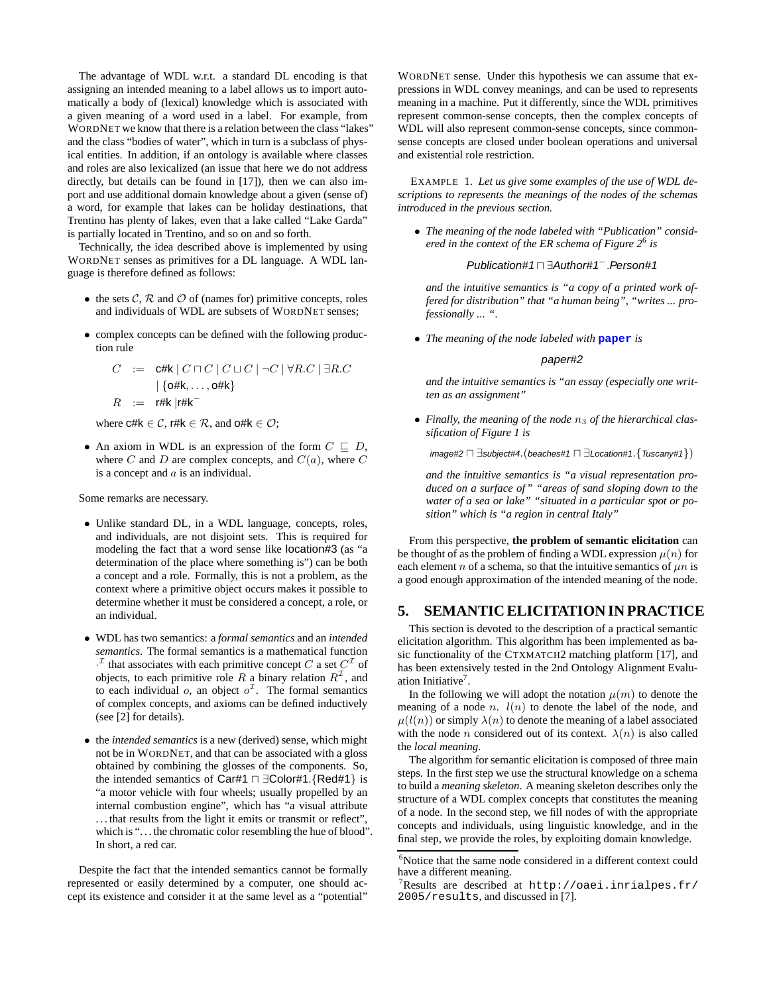The advantage of WDL w.r.t. a standard DL encoding is that assigning an intended meaning to a label allows us to import automatically a body of (lexical) knowledge which is associated with a given meaning of a word used in a label. For example, from WORDNET we know that there is a relation between the class "lakes" and the class "bodies of water", which in turn is a subclass of physical entities. In addition, if an ontology is available where classes and roles are also lexicalized (an issue that here we do not address directly, but details can be found in [17]), then we can also import and use additional domain knowledge about a given (sense of) a word, for example that lakes can be holiday destinations, that Trentino has plenty of lakes, even that a lake called "Lake Garda" is partially located in Trentino, and so on and so forth.

Technically, the idea described above is implemented by using WORDNET senses as primitives for a DL language. A WDL language is therefore defined as follows:

- the sets  $\mathcal{C}, \mathcal{R}$  and  $\mathcal{O}$  of (names for) primitive concepts, roles and individuals of WDL are subsets of WORDNET senses;
- complex concepts can be defined with the following production rule

$$
C := \mathsf{c#k} \mid C \sqcap C \mid C \sqcup C \mid \neg C \mid \forall R.C \mid \exists R.C
$$

$$
\mid \{\mathsf{o#k}, \dots, \mathsf{o#k}\}
$$

$$
R := \mathsf{r#k} \mid \mathsf{r#k}^{-}
$$

where  $\text{c#k} \in \mathcal{C}$ ,  $\text{r#k} \in \mathcal{R}$ , and  $\text{o#k} \in \mathcal{O}$ ;

• An axiom in WDL is an expression of the form  $C \subseteq D$ , where C and D are complex concepts, and  $C(a)$ , where C is a concept and  $a$  is an individual.

Some remarks are necessary.

- Unlike standard DL, in a WDL language, concepts, roles, and individuals, are not disjoint sets. This is required for modeling the fact that a word sense like location#3 (as "a determination of the place where something is") can be both a concept and a role. Formally, this is not a problem, as the context where a primitive object occurs makes it possible to determine whether it must be considered a concept, a role, or an individual.
- WDL has two semantics: a *formal semantics* and an *intended semantics*. The formal semantics is a mathematical function  $\cdot^{\mathcal{I}}$  that associates with each primitive concept C a set  $C^{\mathcal{I}}$  of objects, to each primitive role R a binary relation  $R^{\mathcal{I}}$ , and to each individual o, an object  $o^{\mathcal{I}}$ . The formal semantics of complex concepts, and axioms can be defined inductively (see [2] for details).
- the *intended semantics* is a new (derived) sense, which might not be in WORDNET, and that can be associated with a gloss obtained by combining the glosses of the components. So, the intended semantics of Car#1  $\Box$   $\exists$ Color#1.{Red#1} is "a motor vehicle with four wheels; usually propelled by an internal combustion engine", which has "a visual attribute . . . that results from the light it emits or transmit or reflect", which is "... the chromatic color resembling the hue of blood". In short, a red car.

Despite the fact that the intended semantics cannot be formally represented or easily determined by a computer, one should accept its existence and consider it at the same level as a "potential"

WORDNET sense. Under this hypothesis we can assume that expressions in WDL convey meanings, and can be used to represents meaning in a machine. Put it differently, since the WDL primitives represent common-sense concepts, then the complex concepts of WDL will also represent common-sense concepts, since commonsense concepts are closed under boolean operations and universal and existential role restriction.

EXAMPLE 1. *Let us give some examples of the use of WDL descriptions to represents the meanings of the nodes of the schemas introduced in the previous section.*

• *The meaning of the node labeled with "Publication" considered in the context of the ER schema of Figure 2* 6 *is*

## Publication#1 ⊓ ∃Author#1<sup>-</sup>.Person#1

*and the intuitive semantics is "a copy of a printed work offered for distribution" that "a human being", "writes ... professionally ... ".*

• *The meaning of the node labeled with* **paper** *is*

#### paper#2

*and the intuitive semantics is "an essay (especially one written as an assignment"*

• *Finally, the meaning of the node* n<sup>3</sup> *of the hierarchical classification of Figure 1 is*

 $\mathsf{image} \#2 \sqcap \exists \mathsf{subject} \#4.(\mathsf{beaches} \#1 \sqcap \exists \mathsf{Location} \#1._{\exists \mathsf{Useanv} \#1})$ 

*and the intuitive semantics is "a visual representation produced on a surface of" "areas of sand sloping down to the water of a sea or lake" "situated in a particular spot or position" which is "a region in central Italy"*

From this perspective, **the problem of semantic elicitation** can be thought of as the problem of finding a WDL expression  $\mu(n)$  for each element n of a schema, so that the intuitive semantics of  $\mu n$  is a good enough approximation of the intended meaning of the node.

#### **5. SEMANTIC ELICITATION IN PRACTICE**

This section is devoted to the description of a practical semantic elicitation algorithm. This algorithm has been implemented as basic functionality of the CTXMATCH2 matching platform [17], and has been extensively tested in the 2nd Ontology Alignment Evaluation Initiative 7 .

In the following we will adopt the notation  $\mu(m)$  to denote the meaning of a node n.  $l(n)$  to denote the label of the node, and  $\mu(l(n))$  or simply  $\lambda(n)$  to denote the meaning of a label associated with the node *n* considered out of its context.  $\lambda(n)$  is also called the *local meaning*.

The algorithm for semantic elicitation is composed of three main steps. In the first step we use the structural knowledge on a schema to build a *meaning skeleton*. A meaning skeleton describes only the structure of a WDL complex concepts that constitutes the meaning of a node. In the second step, we fill nodes of with the appropriate concepts and individuals, using linguistic knowledge, and in the final step, we provide the roles, by exploiting domain knowledge.

<sup>&</sup>lt;sup>6</sup>Notice that the same node considered in a different context could have a different meaning.

 $7$ Results are described at http://oaei.inrialpes.fr/ 2005/results, and discussed in [7].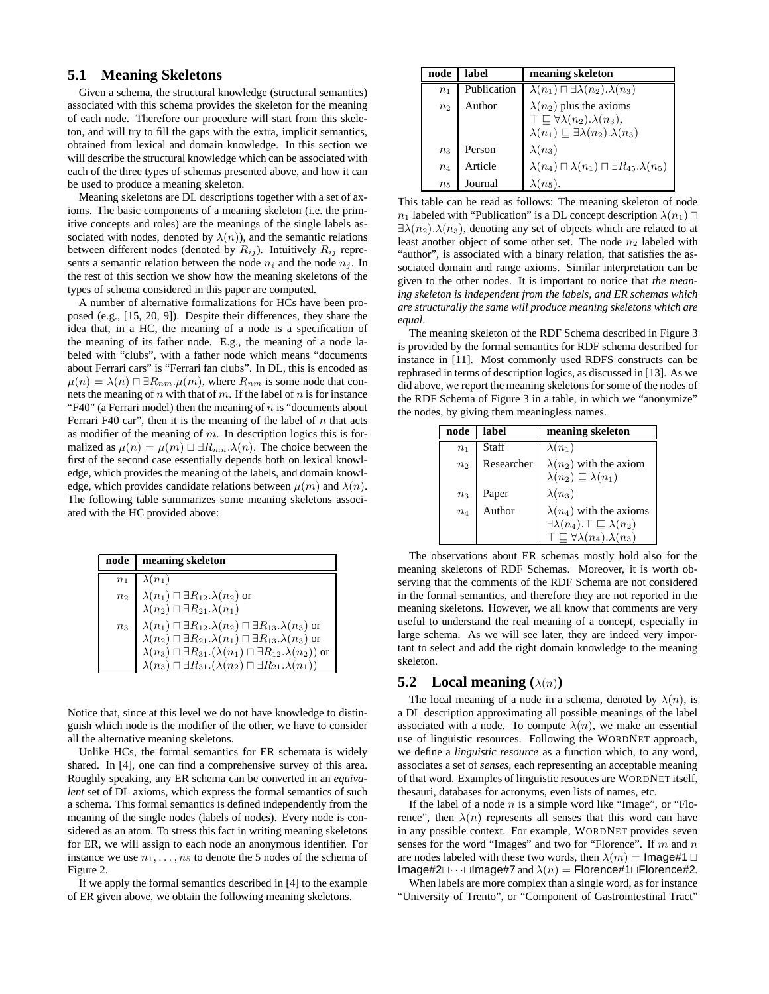#### **5.1 Meaning Skeletons**

Given a schema, the structural knowledge (structural semantics) associated with this schema provides the skeleton for the meaning of each node. Therefore our procedure will start from this skeleton, and will try to fill the gaps with the extra, implicit semantics, obtained from lexical and domain knowledge. In this section we will describe the structural knowledge which can be associated with each of the three types of schemas presented above, and how it can be used to produce a meaning skeleton.

Meaning skeletons are DL descriptions together with a set of axioms. The basic components of a meaning skeleton (i.e. the primitive concepts and roles) are the meanings of the single labels associated with nodes, denoted by  $\lambda(n)$ , and the semantic relations between different nodes (denoted by  $R_{ij}$ ). Intuitively  $R_{ij}$  represents a semantic relation between the node  $n_i$  and the node  $n_j$ . In the rest of this section we show how the meaning skeletons of the types of schema considered in this paper are computed.

A number of alternative formalizations for HCs have been proposed (e.g., [15, 20, 9]). Despite their differences, they share the idea that, in a HC, the meaning of a node is a specification of the meaning of its father node. E.g., the meaning of a node labeled with "clubs", with a father node which means "documents about Ferrari cars" is "Ferrari fan clubs". In DL, this is encoded as  $\mu(n) = \lambda(n) \sqcap \exists R_{nm} \ldotp \mu(m)$ , where  $R_{nm}$  is some node that connets the meaning of n with that of m. If the label of n is for instance "F40" (a Ferrari model) then the meaning of  $n$  is "documents about Ferrari F40 car", then it is the meaning of the label of  $n$  that acts as modifier of the meaning of  $m$ . In description logics this is formalized as  $\mu(n) = \mu(m) \sqcup \exists R_{mn}.\lambda(n)$ . The choice between the first of the second case essentially depends both on lexical knowledge, which provides the meaning of the labels, and domain knowledge, which provides candidate relations between  $\mu(m)$  and  $\lambda(n)$ . The following table summarizes some meaning skeletons associated with the HC provided above:

| node  | meaning skeleton                                                                                                                                                                                                                                                                                                                                                                                                                |
|-------|---------------------------------------------------------------------------------------------------------------------------------------------------------------------------------------------------------------------------------------------------------------------------------------------------------------------------------------------------------------------------------------------------------------------------------|
| $n_1$ | $\lambda(n_1)$                                                                                                                                                                                                                                                                                                                                                                                                                  |
|       | $n_2$ $\lambda(n_1) \sqcap \exists R_{12}.\lambda(n_2)$ or $\lambda(n_2) \sqcap \exists R_{21}.\lambda(n_1)$                                                                                                                                                                                                                                                                                                                    |
|       |                                                                                                                                                                                                                                                                                                                                                                                                                                 |
|       | $\begin{array}{c} n_3 \\ \lambda(n_1) \sqcap \exists R_{12}.\lambda(n_2) \sqcap \exists R_{13}.\lambda(n_3) \text{ or} \\ \lambda(n_2) \sqcap \exists R_{21}.\lambda(n_1) \sqcap \exists R_{13}.\lambda(n_3) \text{ or} \\ \lambda(n_3) \sqcap \exists R_{31}.(\lambda(n_1) \sqcap \exists R_{12}.\lambda(n_2)) \text{ or} \\ \lambda(n_3) \sqcap \exists R_{31}.(\lambda(n_2) \sqcap \exists R_{21}.\lambda(n_1)) \end{array}$ |
|       |                                                                                                                                                                                                                                                                                                                                                                                                                                 |
|       |                                                                                                                                                                                                                                                                                                                                                                                                                                 |
|       |                                                                                                                                                                                                                                                                                                                                                                                                                                 |

Notice that, since at this level we do not have knowledge to distinguish which node is the modifier of the other, we have to consider all the alternative meaning skeletons.

Unlike HCs, the formal semantics for ER schemata is widely shared. In [4], one can find a comprehensive survey of this area. Roughly speaking, any ER schema can be converted in an *equivalent* set of DL axioms, which express the formal semantics of such a schema. This formal semantics is defined independently from the meaning of the single nodes (labels of nodes). Every node is considered as an atom. To stress this fact in writing meaning skeletons for ER, we will assign to each node an anonymous identifier. For instance we use  $n_1, \ldots, n_5$  to denote the 5 nodes of the schema of Figure 2.

If we apply the formal semantics described in [4] to the example of ER given above, we obtain the following meaning skeletons.

| node           | label       | meaning skeleton                                                      |
|----------------|-------------|-----------------------------------------------------------------------|
| n <sub>1</sub> | Publication | $\lambda(n_1) \sqcap \exists \lambda(n_2) \ldotp \lambda(n_3)$        |
| $n_2$          | Author      | $\lambda(n_2)$ plus the axioms                                        |
|                |             | $\top \sqsubseteq \forall \lambda(n_2).\lambda(n_3),$                 |
|                |             | $\lambda(n_1) \sqsubseteq \exists \lambda(n_2) . \lambda(n_3)$        |
| $n_3$          | Person      | $\lambda(n_3)$                                                        |
| $n_4$          | Article     | $\lambda(n_4) \sqcap \lambda(n_1) \sqcap \exists R_{45}.\lambda(n_5)$ |
| $n_{5}$        | Journal     |                                                                       |

This table can be read as follows: The meaning skeleton of node  $n_1$  labeled with "Publication" is a DL concept description  $\lambda(n_1)$   $\Box$  $\exists \lambda(n_2).\lambda(n_3)$ , denoting any set of objects which are related to at least another object of some other set. The node  $n_2$  labeled with "author", is associated with a binary relation, that satisfies the associated domain and range axioms. Similar interpretation can be given to the other nodes. It is important to notice that *the meaning skeleton is independent from the labels, and ER schemas which are structurally the same will produce meaning skeletons which are equal*.

The meaning skeleton of the RDF Schema described in Figure 3 is provided by the formal semantics for RDF schema described for instance in [11]. Most commonly used RDFS constructs can be rephrased in terms of description logics, as discussed in [13]. As we did above, we report the meaning skeletons for some of the nodes of the RDF Schema of Figure 3 in a table, in which we "anonymize" the nodes, by giving them meaningless names.

| node           | label      | meaning skeleton                                                                                                                                 |
|----------------|------------|--------------------------------------------------------------------------------------------------------------------------------------------------|
| $n_1$          | Staff      | $\lambda(n_1)$                                                                                                                                   |
| n <sub>2</sub> | Researcher | $\lambda(n_2)$ with the axiom<br>$\lambda(n_2) \sqsubseteq \lambda(n_1)$                                                                         |
| $n_3$          | Paper      | $\lambda(n_3)$                                                                                                                                   |
| $\sqrt{n_4}$   | Author     | $\lambda(n_4)$ with the axioms<br>$\exists \lambda(n_4) . \top \sqsubseteq \lambda(n_2)$<br>$\top \sqsubseteq \forall \lambda(n_4).\lambda(n_3)$ |

The observations about ER schemas mostly hold also for the meaning skeletons of RDF Schemas. Moreover, it is worth observing that the comments of the RDF Schema are not considered in the formal semantics, and therefore they are not reported in the meaning skeletons. However, we all know that comments are very useful to understand the real meaning of a concept, especially in large schema. As we will see later, they are indeed very important to select and add the right domain knowledge to the meaning skeleton.

#### **5.2 Local meaning**  $(\lambda(n))$

The local meaning of a node in a schema, denoted by  $\lambda(n)$ , is a DL description approximating all possible meanings of the label associated with a node. To compute  $\lambda(n)$ , we make an essential use of linguistic resources. Following the WORDNET approach, we define a *linguistic resource* as a function which, to any word, associates a set of *senses*, each representing an acceptable meaning of that word. Examples of linguistic resouces are WORDNET itself, thesauri, databases for acronyms, even lists of names, etc.

If the label of a node  $n$  is a simple word like "Image", or "Florence", then  $\lambda(n)$  represents all senses that this word can have in any possible context. For example, WORDNET provides seven senses for the word "Images" and two for "Florence". If  $m$  and  $n$ are nodes labeled with these two words, then  $\lambda(m) = \text{Image} \# 1 \sqcup$ Image#2 $\cup \cdots \cup$ Image#7 and  $\lambda(n) =$  Florence#1 $\cup$ Florence#2.

When labels are more complex than a single word, as for instance "University of Trento", or "Component of Gastrointestinal Tract"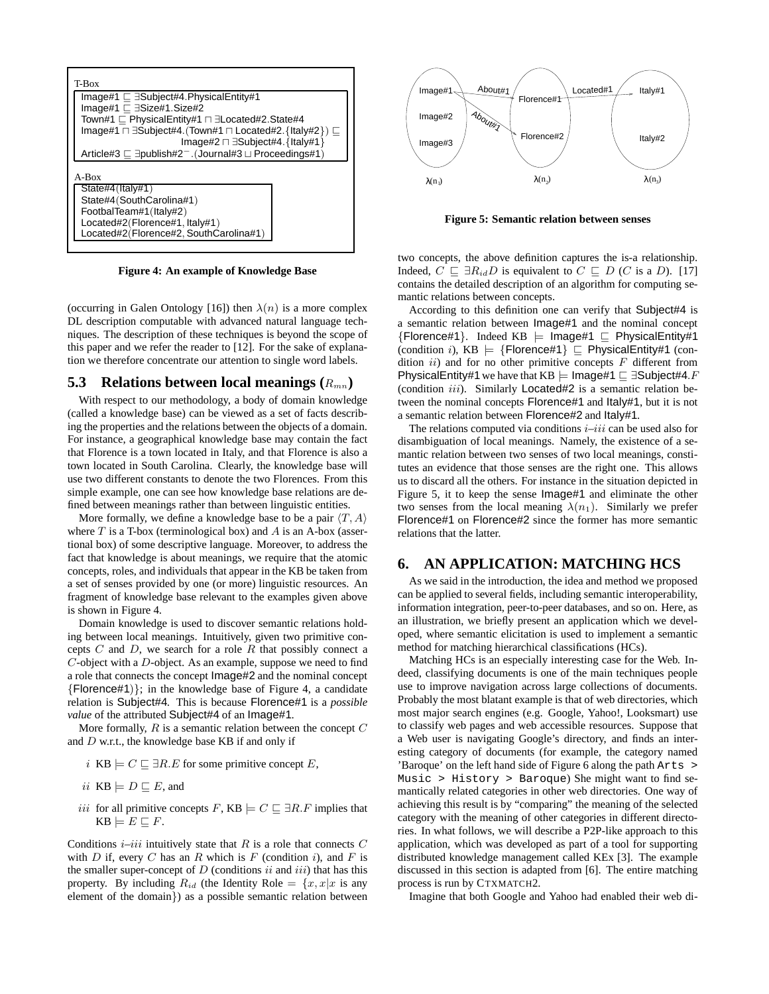

**Figure 4: An example of Knowledge Base**

(occurring in Galen Ontology [16]) then  $\lambda(n)$  is a more complex DL description computable with advanced natural language techniques. The description of these techniques is beyond the scope of this paper and we refer the reader to [12]. For the sake of explanation we therefore concentrate our attention to single word labels.

#### **5.3 Relations between local meanings (**Rmn**)**

With respect to our methodology, a body of domain knowledge (called a knowledge base) can be viewed as a set of facts describing the properties and the relations between the objects of a domain. For instance, a geographical knowledge base may contain the fact that Florence is a town located in Italy, and that Florence is also a town located in South Carolina. Clearly, the knowledge base will use two different constants to denote the two Florences. From this simple example, one can see how knowledge base relations are defined between meanings rather than between linguistic entities.

More formally, we define a knowledge base to be a pair  $\langle T, A \rangle$ where  $T$  is a T-box (terminological box) and  $A$  is an A-box (assertional box) of some descriptive language. Moreover, to address the fact that knowledge is about meanings, we require that the atomic concepts, roles, and individuals that appear in the KB be taken from a set of senses provided by one (or more) linguistic resources. An fragment of knowledge base relevant to the examples given above is shown in Figure 4.

Domain knowledge is used to discover semantic relations holding between local meanings. Intuitively, given two primitive concepts  $C$  and  $D$ , we search for a role  $R$  that possibly connect a  $C$ -object with a  $D$ -object. As an example, suppose we need to find a role that connects the concept Image#2 and the nominal concept  ${Florence#1}$ ; in the knowledge base of Figure 4, a candidate relation is Subject#4. This is because Florence#1 is a *possible value* of the attributed Subject#4 of an Image#1.

More formally,  $R$  is a semantic relation between the concept  $C$ and  $D$  w.r.t., the knowledge base KB if and only if

- *i* KB  $\models C ⊆ \exists R.E$  for some primitive concept E,
- ii  $KB \models D \sqsubset E$ , and
- *iii* for all primitive concepts F, KB  $\models C \sqsubseteq \exists R.F$  implies that  $KB \models E \sqsubset F.$

Conditions  $i$ -iii intuitively state that  $R$  is a role that connects  $C$ with D if, every C has an R which is F (condition i), and F is the smaller super-concept of  $D$  (conditions ii and iii) that has this property. By including  $R_{id}$  (the Identity Role =  $\{x, x | x$  is any element of the domain}) as a possible semantic relation between



**Figure 5: Semantic relation between senses**

two concepts, the above definition captures the is-a relationship. Indeed,  $C \subseteq \exists R_{id}D$  is equivalent to  $C \subseteq D$  (C is a D). [17] contains the detailed description of an algorithm for computing semantic relations between concepts.

According to this definition one can verify that Subject#4 is a semantic relation between Image#1 and the nominal concept  ${Florence#1}$ . Indeed KB  $\models$  Image#1  $\sqsubseteq$  PhysicalEntity#1 (condition i),  $KB \models \{ Florence\#1\} \sqsubseteq PhysicalEntity\#1$  (condition  $ii$ ) and for no other primitive concepts  $F$  different from PhysicalEntity#1 we have that KB  $\models$  Image#1  $\sqsubseteq \exists$ Subject#4.F (condition  $iii$ ). Similarly Located#2 is a semantic relation between the nominal concepts Florence#1 and Italy#1, but it is not a semantic relation between Florence#2 and Italy#1.

The relations computed via conditions  $i$ –iii can be used also for disambiguation of local meanings. Namely, the existence of a semantic relation between two senses of two local meanings, constitutes an evidence that those senses are the right one. This allows us to discard all the others. For instance in the situation depicted in Figure 5, it to keep the sense Image#1 and eliminate the other two senses from the local meaning  $\lambda(n_1)$ . Similarly we prefer Florence#1 on Florence#2 since the former has more semantic relations that the latter.

#### **6. AN APPLICATION: MATCHING HCS**

As we said in the introduction, the idea and method we proposed can be applied to several fields, including semantic interoperability, information integration, peer-to-peer databases, and so on. Here, as an illustration, we briefly present an application which we developed, where semantic elicitation is used to implement a semantic method for matching hierarchical classifications (HCs).

Matching HCs is an especially interesting case for the Web. Indeed, classifying documents is one of the main techniques people use to improve navigation across large collections of documents. Probably the most blatant example is that of web directories, which most major search engines (e.g. Google, Yahoo!, Looksmart) use to classify web pages and web accessible resources. Suppose that a Web user is navigating Google's directory, and finds an interesting category of documents (for example, the category named 'Baroque' on the left hand side of Figure 6 along the path Arts > Music > History > Baroque) She might want to find semantically related categories in other web directories. One way of achieving this result is by "comparing" the meaning of the selected category with the meaning of other categories in different directories. In what follows, we will describe a P2P-like approach to this application, which was developed as part of a tool for supporting distributed knowledge management called KEx [3]. The example discussed in this section is adapted from [6]. The entire matching process is run by CTXMATCH2.

Imagine that both Google and Yahoo had enabled their web di-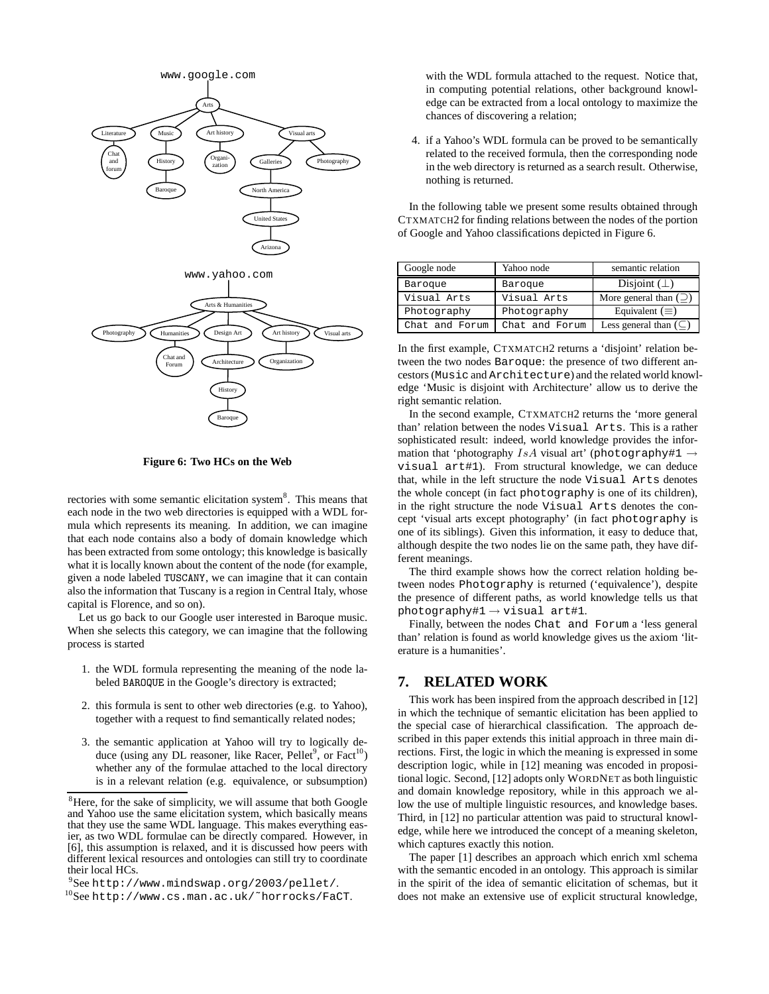

**Figure 6: Two HCs on the Web**

rectories with some semantic elicitation system<sup>8</sup>. This means that each node in the two web directories is equipped with a WDL formula which represents its meaning. In addition, we can imagine that each node contains also a body of domain knowledge which has been extracted from some ontology; this knowledge is basically what it is locally known about the content of the node (for example, given a node labeled TUSCANY, we can imagine that it can contain also the information that Tuscany is a region in Central Italy, whose capital is Florence, and so on).

Let us go back to our Google user interested in Baroque music. When she selects this category, we can imagine that the following process is started

- 1. the WDL formula representing the meaning of the node labeled BAROQUE in the Google's directory is extracted;
- 2. this formula is sent to other web directories (e.g. to Yahoo), together with a request to find semantically related nodes;
- 3. the semantic application at Yahoo will try to logically deduce (using any DL reasoner, like Racer, Pellet<sup>9</sup>, or Fact<sup>10</sup>) whether any of the formulae attached to the local directory is in a relevant relation (e.g. equivalence, or subsumption)

with the WDL formula attached to the request. Notice that, in computing potential relations, other background knowledge can be extracted from a local ontology to maximize the chances of discovering a relation;

4. if a Yahoo's WDL formula can be proved to be semantically related to the received formula, then the corresponding node in the web directory is returned as a search result. Otherwise, nothing is returned.

In the following table we present some results obtained through CTXMATCH2 for finding relations between the nodes of the portion of Google and Yahoo classifications depicted in Figure 6.

| Google node    | Yahoo node     | semantic relation             |
|----------------|----------------|-------------------------------|
| Baroque        | Baroque        | Disjoint $(\perp)$            |
| Visual Arts    | Visual Arts    | More general than $($ )       |
| Photography    | Photography    | Equivalent $(\equiv)$         |
| Chat and Forum | Chat and Forum | Less general than $(\subset)$ |

In the first example, CTXMATCH2 returns a 'disjoint' relation between the two nodes Baroque: the presence of two different ancestors (Music and Architecture) and the related world knowledge 'Music is disjoint with Architecture' allow us to derive the right semantic relation.

In the second example, CTXMATCH2 returns the 'more general than' relation between the nodes Visual Arts. This is a rather sophisticated result: indeed, world knowledge provides the information that 'photography IsA visual art' (photography#1  $\rightarrow$ visual art#1). From structural knowledge, we can deduce that, while in the left structure the node Visual Arts denotes the whole concept (in fact photography is one of its children), in the right structure the node Visual Arts denotes the concept 'visual arts except photography' (in fact photography is one of its siblings). Given this information, it easy to deduce that, although despite the two nodes lie on the same path, they have different meanings.

The third example shows how the correct relation holding between nodes Photography is returned ('equivalence'), despite the presence of different paths, as world knowledge tells us that  $photography#1 \rightarrow visual art#1.$ 

Finally, between the nodes Chat and Forum a 'less general than' relation is found as world knowledge gives us the axiom 'literature is a humanities'.

# **7. RELATED WORK**

This work has been inspired from the approach described in [12] in which the technique of semantic elicitation has been applied to the special case of hierarchical classification. The approach described in this paper extends this initial approach in three main directions. First, the logic in which the meaning is expressed in some description logic, while in [12] meaning was encoded in propositional logic. Second, [12] adopts only WORDNET as both linguistic and domain knowledge repository, while in this approach we allow the use of multiple linguistic resources, and knowledge bases. Third, in [12] no particular attention was paid to structural knowledge, while here we introduced the concept of a meaning skeleton, which captures exactly this notion.

The paper [1] describes an approach which enrich xml schema with the semantic encoded in an ontology. This approach is similar in the spirit of the idea of semantic elicitation of schemas, but it does not make an extensive use of explicit structural knowledge,

<sup>&</sup>lt;sup>8</sup>Here, for the sake of simplicity, we will assume that both Google and Yahoo use the same elicitation system, which basically means that they use the same WDL language. This makes everything easier, as two WDL formulae can be directly compared. However, in [6], this assumption is relaxed, and it is discussed how peers with different lexical resources and ontologies can still try to coordinate their local HCs.

 $9$ See http://www.mindswap.org/2003/pellet/.

<sup>10</sup>See http://www.cs.man.ac.uk/˜horrocks/FaCT.